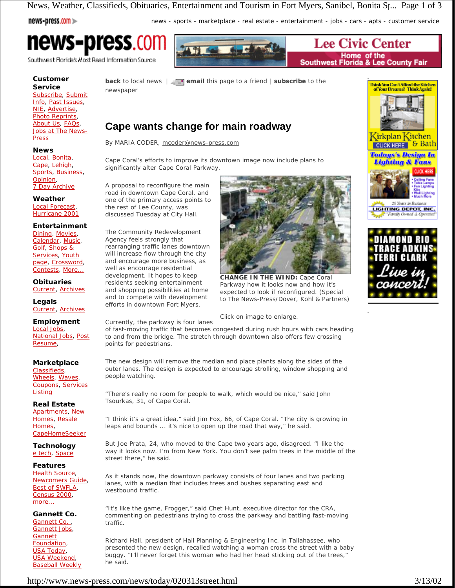News, Weather, Classifieds, Obituaries, Entertainment and Tourism in Fort Myers, Sanibel, Bonita St... Page 1 of 3

# news-press.com

news - sports - marketplace - real estate - entertainment - jobs - cars - apts - customer service

# **news-press.com**

Southwest Florida's Most Read Information Source

# **Customer Service**

Subscribe, Submit Info, Past Issues, NIE, Advertise, Photo Reprints, About Us, FAQs, Jobs at The News-**Press** 

#### **News**

Local, Bonita, Cape, Lehigh, Sports, Business, Opinion, 7 Day Archive

# **Weather**

Local Forecast, Hurricane 2001

#### **Entertainment**

Dining, Movies, Calendar, Music, Golf, Shops & Services, Youth page, Crossword, Contests, More...

**Obituaries** Current, Archives

**Legals** Current, Archives

**Employment** Local Jobs, National Jobs, Post Resume,

#### **Marketplace**

Classifieds, Wheels, Waves, Coupons, Services **Listing** 

**Real Estate**

Apartments, New Homes, Resale Homes, CapeHomeSeeker

**Technology** e tech, Space

#### **Features**

Health Source, Newcomers Guide, Best of SWFLA, Census 2000, more...

**Gannett Co.** Gannett Co., Gannett Jobs, Gannett Foundation, USA Today, USA Weekend, Baseball Weekly

**Lee Civic Center** Home of the<br>Southwest Florida & Lee County Fair

**back** to local news  $| = \blacksquare$  **email** this page to a friend  $|$  **subscribe** to the newspaper

# **Cape wants change for main roadway**

By MARIA CODER, mcoder@news-press.com

Cape Coral's efforts to improve its downtown image now include plans to significantly alter Cape Coral Parkway.

A proposal to reconfigure the main road in downtown Cape Coral, and one of the primary access points to the rest of Lee County, was discussed Tuesday at City Hall.

The Community Redevelopment Agency feels strongly that rearranging traffic lanes downtown will increase flow through the city and encourage more business, as well as encourage residential development. It hopes to keep residents seeking entertainment and shopping possibilities at home and to compete with development efforts in downtown Fort Myers.



**CHANGE IN THE WIND:** Cape Coral Parkway how it looks now and how it's expected to look if reconfigured. (Special to The News-Press/Dover, Kohl & Partners)

### *Click on image to enlarge.*

Currently, the parkway is four lanes of fast-moving traffic that becomes congested during rush hours with cars heading to and from the bridge. The stretch through downtown also offers few crossing points for pedestrians.

The new design will remove the median and place plants along the sides of the outer lanes. The design is expected to encourage strolling, window shopping and people watching.

"There's really no room for people to walk, which would be nice," said John Tsourkas, 31, of Cape Coral.

"I think it's a great idea," said Jim Fox, 66, of Cape Coral. "The city is growing in leaps and bounds ... it's nice to open up the road that way," he said.

But Joe Prata, 24, who moved to the Cape two years ago, disagreed. "I like the way it looks now. I'm from New York. You don't see palm trees in the middle of the street there," he said.

As it stands now, the downtown parkway consists of four lanes and two parking lanes, with a median that includes trees and bushes separating east and westbound traffic.

"It's like the game, Frogger," said Chet Hunt, executive director for the CRA, commenting on pedestrians trying to cross the parkway and battling fast-moving traffic.

Richard Hall, president of Hall Planning & Engineering Inc. in Tallahassee, who presented the new design, recalled watching a woman cross the street with a baby buggy. "I'll never forget this woman who had her head sticking out of the trees," he said.